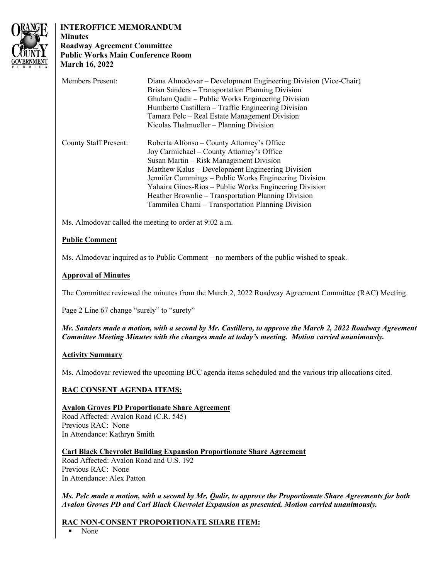

# **INTEROFFICE MEMORANDUM**

## **Minutes Roadway Agreement Committee Public Works Main Conference Room March 16, 2022**

| <b>Members Present:</b>      | Diana Almodovar – Development Engineering Division (Vice-Chair) |
|------------------------------|-----------------------------------------------------------------|
|                              | Brian Sanders – Transportation Planning Division                |
|                              | Ghulam Qadir – Public Works Engineering Division                |
|                              | Humberto Castillero – Traffic Engineering Division              |
|                              | Tamara Pelc – Real Estate Management Division                   |
|                              | Nicolas Thalmueller – Planning Division                         |
| <b>County Staff Present:</b> | Roberta Alfonso – County Attorney's Office                      |
|                              | Joy Carmichael – County Attorney's Office                       |
|                              | Susan Martin – Risk Management Division                         |
|                              | Matthew Kalus – Development Engineering Division                |
|                              | Jennifer Cummings - Public Works Engineering Division           |
|                              | Yahaira Gines-Rios - Public Works Engineering Division          |
|                              | Heather Brownlie – Transportation Planning Division             |
|                              | Tammilea Chami – Transportation Planning Division               |

Ms. Almodovar called the meeting to order at 9:02 a.m.

## **Public Comment**

Ms. Almodovar inquired as to Public Comment – no members of the public wished to speak.

## **Approval of Minutes**

The Committee reviewed the minutes from the March 2, 2022 Roadway Agreement Committee (RAC) Meeting.

Page 2 Line 67 change "surely" to "surety"

*Mr. Sanders made a motion, with a second by Mr. Castillero, to approve the March 2, 2022 Roadway Agreement Committee Meeting Minutes with the changes made at today's meeting. Motion carried unanimously.* 

#### **Activity Summary**

Ms. Almodovar reviewed the upcoming BCC agenda items scheduled and the various trip allocations cited.

## **RAC CONSENT AGENDA ITEMS:**

## **Avalon Groves PD Proportionate Share Agreement**

Road Affected: Avalon Road (C.R. 545) Previous RAC: None In Attendance: Kathryn Smith

#### **Carl Black Chevrolet Building Expansion Proportionate Share Agreement**

Road Affected: Avalon Road and U.S. 192 Previous RAC: None In Attendance: Alex Patton

*Ms. Pelc made a motion, with a second by Mr. Qadir, to approve the Proportionate Share Agreements for both Avalon Groves PD and Carl Black Chevrolet Expansion as presented. Motion carried unanimously.* 

## **RAC NON-CONSENT PROPORTIONATE SHARE ITEM:**

None